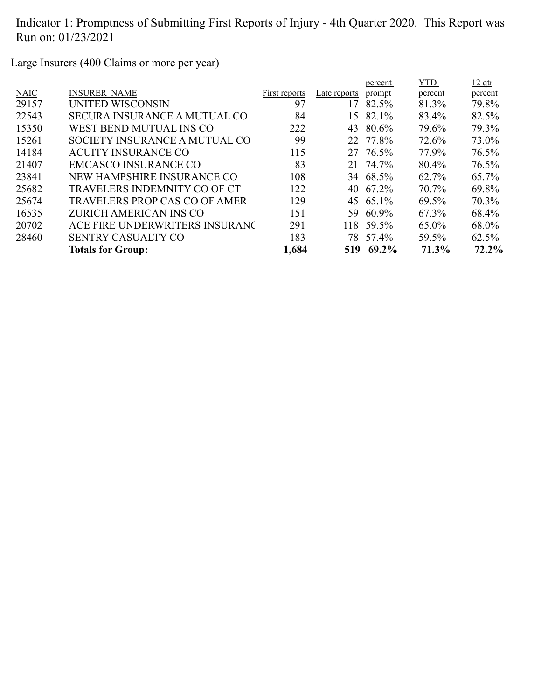Large Insurers (400 Claims or more per year)

| <b>INSURER NAME</b><br><b>NAIC</b><br>Late reports<br>First reports<br>prompt<br>percent<br>percent<br>97<br>29157<br>UNITED WISCONSIN<br>82.5%<br>81.3%<br>79.8%<br>17<br>22543<br>84<br>SECURA INSURANCE A MUTUAL CO<br>82.1%<br>83.4%<br>82.5%<br>15<br>15350<br>79.3%<br>80.6%<br>79.6%<br>WEST BEND MUTUAL INS CO<br>222<br>43<br>99<br>22 77.8%<br>15261<br>73.0%<br>SOCIETY INSURANCE A MUTUAL CO<br>72.6%<br>14184<br>115<br>27 76.5%<br>77.9%<br>76.5%<br><b>ACUITY INSURANCE CO</b><br>83<br>21407<br><b>EMCASCO INSURANCE CO</b><br>76.5%<br>21 74.7%<br>80.4%<br>23841<br>65.7%<br>NEW HAMPSHIRE INSURANCE CO<br>108<br>34 68.5%<br>62.7%<br>25682<br>122<br>69.8%<br>TRAVELERS INDEMNITY CO OF CT<br>67.2%<br>70.7%<br>40<br>129<br>25674<br>70.3%<br><b>TRAVELERS PROP CAS CO OF AMER</b><br>45 65.1%<br>69.5%<br>16535<br>68.4%<br>ZURICH AMERICAN INS CO<br>151<br>60.9%<br>67.3%<br>59<br>20702<br>59.5%<br>68.0%<br>ACE FIRE UNDERWRITERS INSURANC<br>291<br>118<br>65.0%<br>78 57.4%<br>28460<br>183<br><b>SENTRY CASUALTY CO</b><br>59.5%<br>$62.5\%$<br>72.2%<br>1,684<br>71.3%<br>69.2%<br><b>Totals for Group:</b><br>519 |  |  | percent | YTD. | $12$ qtr |
|--------------------------------------------------------------------------------------------------------------------------------------------------------------------------------------------------------------------------------------------------------------------------------------------------------------------------------------------------------------------------------------------------------------------------------------------------------------------------------------------------------------------------------------------------------------------------------------------------------------------------------------------------------------------------------------------------------------------------------------------------------------------------------------------------------------------------------------------------------------------------------------------------------------------------------------------------------------------------------------------------------------------------------------------------------------------------------------------------------------------------------------------------|--|--|---------|------|----------|
|                                                                                                                                                                                                                                                                                                                                                                                                                                                                                                                                                                                                                                                                                                                                                                                                                                                                                                                                                                                                                                                                                                                                                  |  |  |         |      |          |
|                                                                                                                                                                                                                                                                                                                                                                                                                                                                                                                                                                                                                                                                                                                                                                                                                                                                                                                                                                                                                                                                                                                                                  |  |  |         |      |          |
|                                                                                                                                                                                                                                                                                                                                                                                                                                                                                                                                                                                                                                                                                                                                                                                                                                                                                                                                                                                                                                                                                                                                                  |  |  |         |      |          |
|                                                                                                                                                                                                                                                                                                                                                                                                                                                                                                                                                                                                                                                                                                                                                                                                                                                                                                                                                                                                                                                                                                                                                  |  |  |         |      |          |
|                                                                                                                                                                                                                                                                                                                                                                                                                                                                                                                                                                                                                                                                                                                                                                                                                                                                                                                                                                                                                                                                                                                                                  |  |  |         |      |          |
|                                                                                                                                                                                                                                                                                                                                                                                                                                                                                                                                                                                                                                                                                                                                                                                                                                                                                                                                                                                                                                                                                                                                                  |  |  |         |      |          |
|                                                                                                                                                                                                                                                                                                                                                                                                                                                                                                                                                                                                                                                                                                                                                                                                                                                                                                                                                                                                                                                                                                                                                  |  |  |         |      |          |
|                                                                                                                                                                                                                                                                                                                                                                                                                                                                                                                                                                                                                                                                                                                                                                                                                                                                                                                                                                                                                                                                                                                                                  |  |  |         |      |          |
|                                                                                                                                                                                                                                                                                                                                                                                                                                                                                                                                                                                                                                                                                                                                                                                                                                                                                                                                                                                                                                                                                                                                                  |  |  |         |      |          |
|                                                                                                                                                                                                                                                                                                                                                                                                                                                                                                                                                                                                                                                                                                                                                                                                                                                                                                                                                                                                                                                                                                                                                  |  |  |         |      |          |
|                                                                                                                                                                                                                                                                                                                                                                                                                                                                                                                                                                                                                                                                                                                                                                                                                                                                                                                                                                                                                                                                                                                                                  |  |  |         |      |          |
|                                                                                                                                                                                                                                                                                                                                                                                                                                                                                                                                                                                                                                                                                                                                                                                                                                                                                                                                                                                                                                                                                                                                                  |  |  |         |      |          |
|                                                                                                                                                                                                                                                                                                                                                                                                                                                                                                                                                                                                                                                                                                                                                                                                                                                                                                                                                                                                                                                                                                                                                  |  |  |         |      |          |
|                                                                                                                                                                                                                                                                                                                                                                                                                                                                                                                                                                                                                                                                                                                                                                                                                                                                                                                                                                                                                                                                                                                                                  |  |  |         |      |          |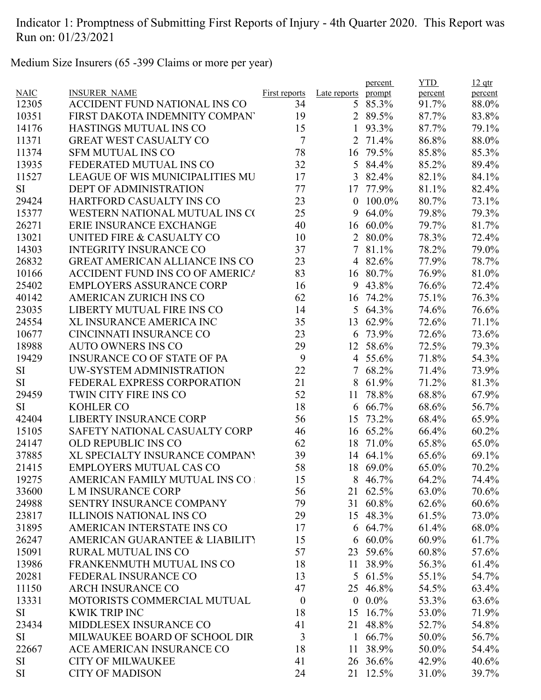Medium Size Insurers (65 -399 Claims or more per year)

|             |                                        |                  |                  | percent  | <b>YTD</b> | $12$ qtr |
|-------------|----------------------------------------|------------------|------------------|----------|------------|----------|
| <b>NAIC</b> | <b>INSURER NAME</b>                    | First reports    | Late reports     | prompt   | percent    | percent  |
| 12305       | ACCIDENT FUND NATIONAL INS CO          | 34               | 5                | 85.3%    | 91.7%      | 88.0%    |
| 10351       | FIRST DAKOTA INDEMNITY COMPAN          | 19               |                  | 2 89.5%  | 87.7%      | 83.8%    |
| 14176       | <b>HASTINGS MUTUAL INS CO</b>          | 15               | 1                | 93.3%    | 87.7%      | 79.1%    |
| 11371       | <b>GREAT WEST CASUALTY CO</b>          | $\tau$           | $\overline{2}$   | 71.4%    | 86.8%      | 88.0%    |
| 11374       | <b>SFM MUTUAL INS CO</b>               | 78               | 16               | 79.5%    | 85.8%      | 85.3%    |
| 13935       | FEDERATED MUTUAL INS CO                | 32               | 5                | 84.4%    | 85.2%      | 89.4%    |
| 11527       | <b>LEAGUE OF WIS MUNICIPALITIES MU</b> | 17               | 3                | 82.4%    | 82.1%      | 84.1%    |
| SI          | <b>DEPT OF ADMINISTRATION</b>          | 77               | 17               | 77.9%    | 81.1%      | 82.4%    |
| 29424       | HARTFORD CASUALTY INS CO               | 23               | $\mathbf{0}$     | 100.0%   | 80.7%      | 73.1%    |
| 15377       | WESTERN NATIONAL MUTUAL INS CO         | 25               | 9                | 64.0%    | 79.8%      | 79.3%    |
| 26271       | ERIE INSURANCE EXCHANGE                | 40               | 16               | $60.0\%$ | 79.7%      | 81.7%    |
| 13021       | UNITED FIRE & CASUALTY CO              | 10               | $\overline{2}$   | 80.0%    | 78.3%      | 72.4%    |
| 14303       | <b>INTEGRITY INSURANCE CO</b>          | 37               |                  | 7 81.1%  | 78.2%      | 79.0%    |
| 26832       | <b>GREAT AMERICAN ALLIANCE INS CO</b>  | 23               |                  | 4 82.6%  | 77.9%      | 78.7%    |
| 10166       | ACCIDENT FUND INS CO OF AMERICA        | 83               |                  | 16 80.7% | 76.9%      | 81.0%    |
| 25402       | <b>EMPLOYERS ASSURANCE CORP</b>        | 16               |                  | 9 43.8%  | 76.6%      | 72.4%    |
| 40142       | <b>AMERICAN ZURICH INS CO</b>          | 62               | 16               | 74.2%    | 75.1%      | 76.3%    |
| 23035       | LIBERTY MUTUAL FIRE INS CO             | 14               | 5                | 64.3%    | 74.6%      | 76.6%    |
| 24554       | <b>XL INSURANCE AMERICA INC</b>        | 35               | 13               | 62.9%    | 72.6%      | 71.1%    |
| 10677       | CINCINNATI INSURANCE CO                | 23               | 6                | 73.9%    | 72.6%      | 73.6%    |
| 18988       | <b>AUTO OWNERS INS CO</b>              | 29               |                  | 12 58.6% | 72.5%      | 79.3%    |
| 19429       | <b>INSURANCE CO OF STATE OF PA</b>     | 9                |                  | 4 55.6%  | 71.8%      | 54.3%    |
| SI          | UW-SYSTEM ADMINISTRATION               | 22               |                  | 7 68.2%  | 71.4%      | 73.9%    |
| SI          | FEDERAL EXPRESS CORPORATION            | 21               | 8                | 61.9%    | 71.2%      | 81.3%    |
| 29459       | TWIN CITY FIRE INS CO                  | 52               | 11               | 78.8%    | 68.8%      | 67.9%    |
| SI          | <b>KOHLER CO</b>                       | 18               | 6                | 66.7%    | 68.6%      | 56.7%    |
| 42404       | <b>LIBERTY INSURANCE CORP</b>          | 56               | 15               | 73.2%    | 68.4%      | 65.9%    |
| 15105       | SAFETY NATIONAL CASUALTY CORP          | 46               |                  | 16 65.2% | 66.4%      | 60.2%    |
| 24147       | <b>OLD REPUBLIC INS CO</b>             | 62               | 18               | 71.0%    | 65.8%      | 65.0%    |
| 37885       | XL SPECIALTY INSURANCE COMPANY         | 39               |                  | 14 64.1% | 65.6%      | 69.1%    |
| 21415       | <b>EMPLOYERS MUTUAL CAS CO</b>         | 58               |                  | 18 69.0% | 65.0%      | 70.2%    |
| 19275       | AMERICAN FAMILY MUTUAL INS CO          | 15               |                  | 8 46.7%  | 64.2%      | 74.4%    |
| 33600       | L M INSURANCE CORP                     | 56               |                  | 21 62.5% | 63.0%      | 70.6%    |
| 24988       | SENTRY INSURANCE COMPANY               | 79               |                  | 31 60.8% | 62.6%      | 60.6%    |
| 23817       | <b>ILLINOIS NATIONAL INS CO</b>        | 29               |                  | 15 48.3% | 61.5%      | 73.0%    |
| 31895       | AMERICAN INTERSTATE INS CO             | 17               |                  | 6 64.7%  | 61.4%      | 68.0%    |
| 26247       | AMERICAN GUARANTEE & LIABILITY         | 15               | 6                | $60.0\%$ | 60.9%      | 61.7%    |
| 15091       | <b>RURAL MUTUAL INS CO</b>             | 57               |                  | 23 59.6% | 60.8%      | 57.6%    |
| 13986       | FRANKENMUTH MUTUAL INS CO              | 18               |                  | 11 38.9% | 56.3%      | 61.4%    |
| 20281       | FEDERAL INSURANCE CO                   | 13               |                  | 5 61.5%  | 55.1%      | 54.7%    |
| 11150       | <b>ARCH INSURANCE CO</b>               | 47               |                  | 25 46.8% | 54.5%      | 63.4%    |
| 13331       | MOTORISTS COMMERCIAL MUTUAL            | $\boldsymbol{0}$ | $\boldsymbol{0}$ | $0.0\%$  | 53.3%      | 63.6%    |
| SI          | <b>KWIK TRIP INC</b>                   | 18               | 15               | 16.7%    | 53.0%      | 71.9%    |
| 23434       | MIDDLESEX INSURANCE CO                 | 41               | 21               | 48.8%    | 52.7%      | 54.8%    |
| SI          | MILWAUKEE BOARD OF SCHOOL DIR          | 3                | $\mathbf{1}$     | 66.7%    | 50.0%      | 56.7%    |
| 22667       | ACE AMERICAN INSURANCE CO              | 18               | 11               | 38.9%    | 50.0%      | 54.4%    |
| <b>SI</b>   | <b>CITY OF MILWAUKEE</b>               | 41               |                  | 26 36.6% | 42.9%      | 40.6%    |
| SI          | <b>CITY OF MADISON</b>                 | 24               |                  | 21 12.5% |            |          |
|             |                                        |                  |                  |          | 31.0%      | 39.7%    |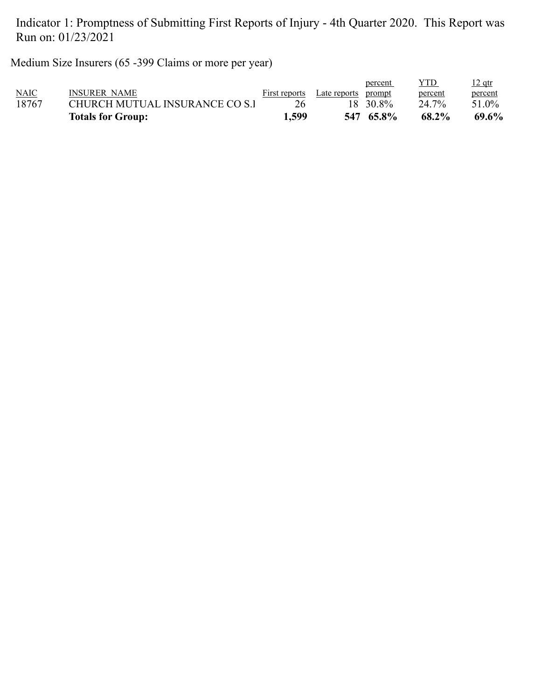Medium Size Insurers (65 -399 Claims or more per year)

|             | <b>Totals for Group:</b>       | 1.599         |              | 547 65.8% | 68.2%   | 69.6%         |
|-------------|--------------------------------|---------------|--------------|-----------|---------|---------------|
| 18767       | CHURCH MUTUAL INSURANCE CO S.1 | 26            |              | 18 30.8%  | 24.7%   | 51.0%         |
| <b>NAIC</b> | INSURER NAME                   | First reports | Late reports | prompt    | percent | percent       |
|             |                                |               |              | percent   | YTD     | <u>12 qtr</u> |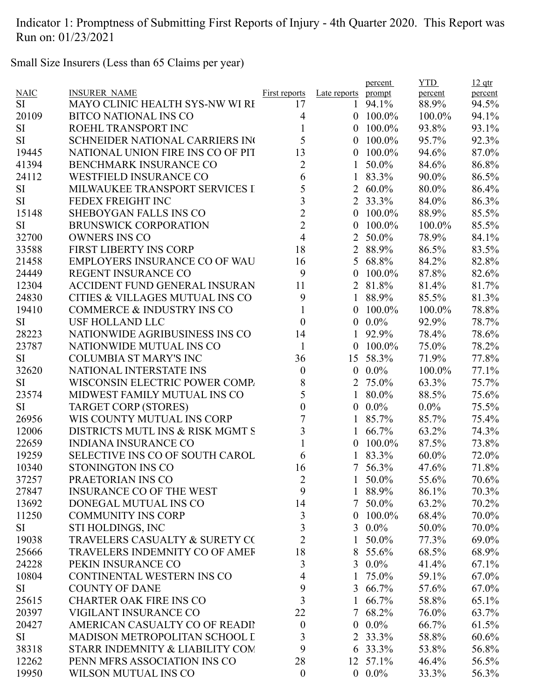Small Size Insurers (Less than 65 Claims per year)

|             |                                        |                      |                  | percent         | <b>YTD</b> | $12$ qtr |
|-------------|----------------------------------------|----------------------|------------------|-----------------|------------|----------|
| <b>NAIC</b> | <b>INSURER NAME</b>                    | <b>First reports</b> | Late reports     | prompt          | percent    | percent  |
| SI          | <b>MAYO CLINIC HEALTH SYS-NW WI RI</b> | 17                   | 1                | 94.1%           | 88.9%      | 94.5%    |
| 20109       | <b>BITCO NATIONAL INS CO</b>           | 4                    | $\theta$         | $100.0\%$       | 100.0%     | 94.1%    |
| <b>SI</b>   | ROEHL TRANSPORT INC                    | 1                    | $\overline{0}$   | 100.0%          | 93.8%      | 93.1%    |
| <b>SI</b>   | SCHNEIDER NATIONAL CARRIERS IN         | 5                    | $\theta$         | 100.0%          | 95.7%      | 92.3%    |
| 19445       | NATIONAL UNION FIRE INS CO OF PIT      | 13                   | $\overline{0}$   | 100.0%          | 94.6%      | 87.0%    |
| 41394       | BENCHMARK INSURANCE CO                 | $\overline{2}$       |                  | 50.0%           | 84.6%      | 86.8%    |
| 24112       | <b>WESTFIELD INSURANCE CO</b>          | 6                    |                  | 83.3%           | 90.0%      | 86.5%    |
| <b>SI</b>   | MILWAUKEE TRANSPORT SERVICES I         | 5                    | $\overline{2}$   | $60.0\%$        | 80.0%      | 86.4%    |
| <b>SI</b>   | FEDEX FREIGHT INC                      | $\overline{3}$       |                  | 2 33.3%         | 84.0%      | 86.3%    |
| 15148       | <b>SHEBOYGAN FALLS INS CO</b>          | $\overline{2}$       | $\overline{0}$   | 100.0%          | 88.9%      | 85.5%    |
| <b>SI</b>   | <b>BRUNSWICK CORPORATION</b>           | $\overline{2}$       | $\overline{0}$   | 100.0%          | 100.0%     | 85.5%    |
| 32700       | <b>OWNERS INS CO</b>                   | $\overline{4}$       | $\overline{2}$   | 50.0%           | 78.9%      | 84.1%    |
| 33588       | <b>FIRST LIBERTY INS CORP</b>          | 18                   | 2                | 88.9%           | 86.5%      | 83.5%    |
| 21458       | EMPLOYERS INSURANCE CO OF WAU          | 16                   | 5                | 68.8%           | 84.2%      | 82.8%    |
| 24449       | <b>REGENT INSURANCE CO</b>             | 9                    | $\overline{0}$   | 100.0%          | 87.8%      | 82.6%    |
| 12304       | <b>ACCIDENT FUND GENERAL INSURAN</b>   | 11                   | $\overline{2}$   | 81.8%           | 81.4%      | 81.7%    |
| 24830       | CITIES & VILLAGES MUTUAL INS CO        | 9                    | 1                | 88.9%           | 85.5%      | 81.3%    |
| 19410       | <b>COMMERCE &amp; INDUSTRY INS CO</b>  | 1                    | $\theta$         | 100.0%          | 100.0%     | 78.8%    |
| <b>SI</b>   | <b>USF HOLLAND LLC</b>                 | $\boldsymbol{0}$     | $\boldsymbol{0}$ | $0.0\%$         | 92.9%      | 78.7%    |
| 28223       | NATIONWIDE AGRIBUSINESS INS CO         | 14                   |                  | 92.9%           | 78.4%      | 78.6%    |
| 23787       | NATIONWIDE MUTUAL INS CO               | $\mathbf{1}$         | $\mathbf{0}$     | 100.0%          | 75.0%      | 78.2%    |
| <b>SI</b>   | <b>COLUMBIA ST MARY'S INC</b>          | 36                   | 15               | 58.3%           | 71.9%      | 77.8%    |
| 32620       | NATIONAL INTERSTATE INS                | $\boldsymbol{0}$     | $\overline{0}$   | $0.0\%$         | 100.0%     | 77.1%    |
| <b>SI</b>   | WISCONSIN ELECTRIC POWER COMP.         | 8                    | 2                | 75.0%           | 63.3%      | 75.7%    |
| 23574       | MIDWEST FAMILY MUTUAL INS CO           | 5                    | 1                | 80.0%           | 88.5%      | 75.6%    |
| <b>SI</b>   | <b>TARGET CORP (STORES)</b>            | $\boldsymbol{0}$     | $\boldsymbol{0}$ | $0.0\%$         | $0.0\%$    | 75.5%    |
| 26956       | WIS COUNTY MUTUAL INS CORP             | $\overline{7}$       |                  | 85.7%           | 85.7%      | 75.4%    |
| 12006       | DISTRICTS MUTL INS & RISK MGMT S       | 3                    |                  | 66.7%           | 63.2%      | 74.3%    |
| 22659       | <b>INDIANA INSURANCE CO</b>            |                      | $\boldsymbol{0}$ | 100.0%          | 87.5%      | 73.8%    |
| 19259       | <b>SELECTIVE INS CO OF SOUTH CAROL</b> | 6                    | 1                | 83.3%           | 60.0%      | 72.0%    |
| 10340       | STONINGTON INS CO                      | 16                   | $\tau$           | 56.3%           | 47.6%      | 71.8%    |
| 37257       | PRAETORIAN INS CO                      | $\overline{2}$       |                  | 50.0%           | 55.6%      | 70.6%    |
| 27847       | <b>INSURANCE CO OF THE WEST</b>        | 9                    |                  | 1 88.9%         | 86.1%      | 70.3%    |
| 13692       | DONEGAL MUTUAL INS CO                  | 14                   |                  | $7\,50.0\%$     | 63.2%      | 70.2%    |
| 11250       | <b>COMMUNITY INS CORP</b>              | 3                    | $\overline{0}$   | $100.0\%$       | 68.4%      | 70.0%    |
| SI          | STI HOLDINGS, INC                      | $\overline{3}$       |                  | 3 0.0%          | 50.0%      | 70.0%    |
| 19038       | TRAVELERS CASUALTY & SURETY CO         | $\overline{2}$       | 1                | 50.0%           | 77.3%      | 69.0%    |
| 25666       | TRAVELERS INDEMNITY CO OF AMEF         | 18                   | 8                | 55.6%           | 68.5%      | 68.9%    |
| 24228       | PEKIN INSURANCE CO                     | 3                    |                  | 3 $0.0\%$       | 41.4%      | 67.1%    |
| 10804       | CONTINENTAL WESTERN INS CO             | 4                    | $\mathbf{1}$     | 75.0%           | 59.1%      | 67.0%    |
| SI          | <b>COUNTY OF DANE</b>                  | 9                    |                  | 3 66.7%         | 57.6%      | 67.0%    |
| 25615       | <b>CHARTER OAK FIRE INS CO</b>         | $\overline{3}$       | $\mathbf{1}$     | 66.7%           | 58.8%      | 65.1%    |
| 20397       | VIGILANT INSURANCE CO                  | 22                   |                  | 7 68.2%         | 76.0%      | 63.7%    |
| 20427       | AMERICAN CASUALTY CO OF READII         | $\boldsymbol{0}$     | $\mathbf{0}$     | $0.0\%$         | 66.7%      | 61.5%    |
| SI          | MADISON METROPOLITAN SCHOOL I          | 3                    | 2                | 33.3%           | 58.8%      | 60.6%    |
| 38318       | STARR INDEMNITY & LIABILITY COM        | 9                    |                  | $6\quad 33.3\%$ | 53.8%      | 56.8%    |
| 12262       | PENN MFRS ASSOCIATION INS CO           | 28                   |                  | 12 57.1%        | 46.4%      | 56.5%    |
|             |                                        |                      |                  |                 |            |          |
| 19950       | WILSON MUTUAL INS CO                   | $\boldsymbol{0}$     |                  | $0.0\%$         | 33.3%      | 56.3%    |